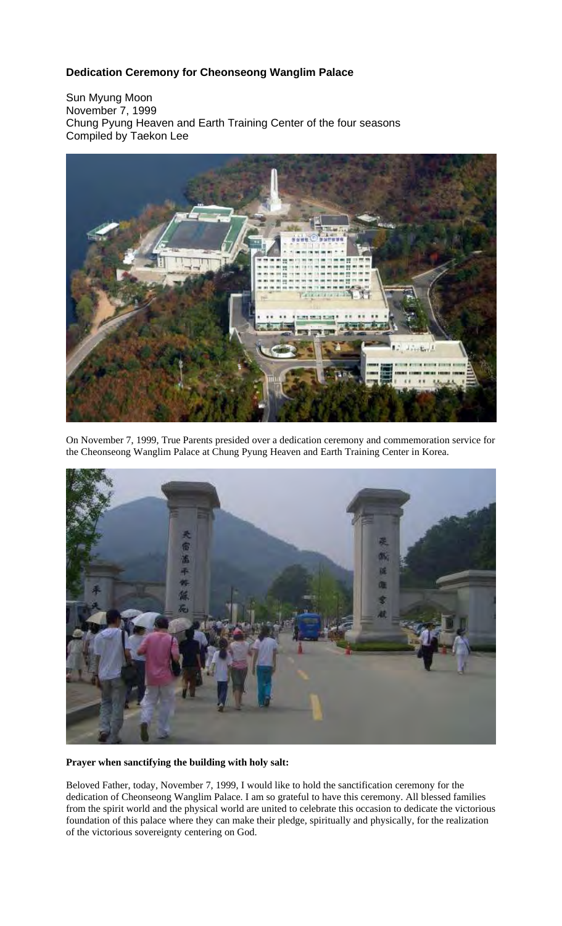# **Dedication Ceremony for Cheonseong Wanglim Palace**

Sun Myung Moon November 7, 1999 Chung Pyung Heaven and Earth Training Center of the four seasons Compiled by Taekon Lee



On November 7, 1999, True Parents presided over a dedication ceremony and commemoration service for the Cheonseong Wanglim Palace at Chung Pyung Heaven and Earth Training Center in Korea.



## **Prayer when sanctifying the building with holy salt:**

Beloved Father, today, November 7, 1999, I would like to hold the sanctification ceremony for the dedication of Cheonseong Wanglim Palace. I am so grateful to have this ceremony. All blessed families from the spirit world and the physical world are united to celebrate this occasion to dedicate the victorious foundation of this palace where they can make their pledge, spiritually and physically, for the realization of the victorious sovereignty centering on God.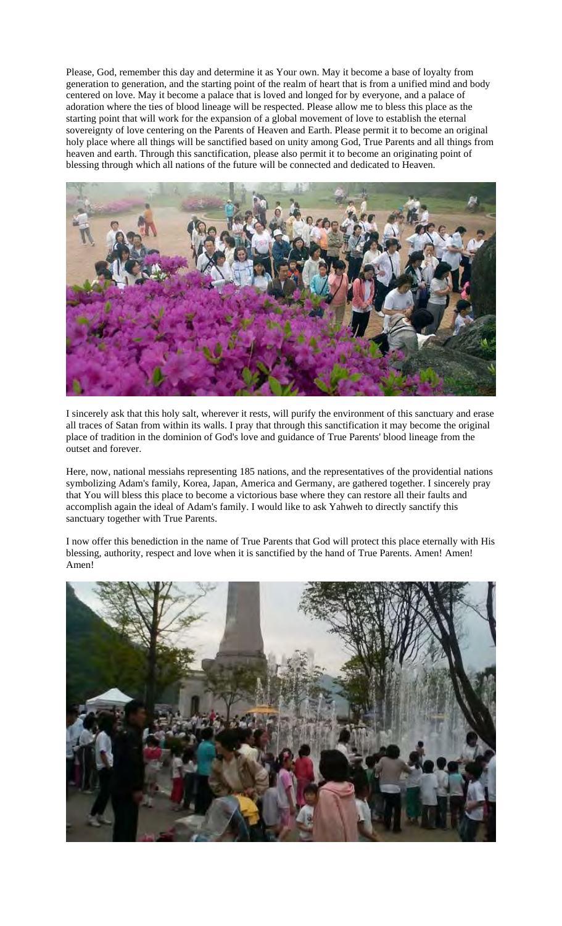Please, God, remember this day and determine it as Your own. May it become a base of loyalty from generation to generation, and the starting point of the realm of heart that is from a unified mind and body centered on love. May it become a palace that is loved and longed for by everyone, and a palace of adoration where the ties of blood lineage will be respected. Please allow me to bless this place as the starting point that will work for the expansion of a global movement of love to establish the eternal sovereignty of love centering on the Parents of Heaven and Earth. Please permit it to become an original holy place where all things will be sanctified based on unity among God, True Parents and all things from heaven and earth. Through this sanctification, please also permit it to become an originating point of blessing through which all nations of the future will be connected and dedicated to Heaven.



I sincerely ask that this holy salt, wherever it rests, will purify the environment of this sanctuary and erase all traces of Satan from within its walls. I pray that through this sanctification it may become the original place of tradition in the dominion of God's love and guidance of True Parents' blood lineage from the outset and forever.

Here, now, national messiahs representing 185 nations, and the representatives of the providential nations symbolizing Adam's family, Korea, Japan, America and Germany, are gathered together. I sincerely pray that You will bless this place to become a victorious base where they can restore all their faults and accomplish again the ideal of Adam's family. I would like to ask Yahweh to directly sanctify this sanctuary together with True Parents.

I now offer this benediction in the name of True Parents that God will protect this place eternally with His blessing, authority, respect and love when it is sanctified by the hand of True Parents. Amen! Amen! Amen!

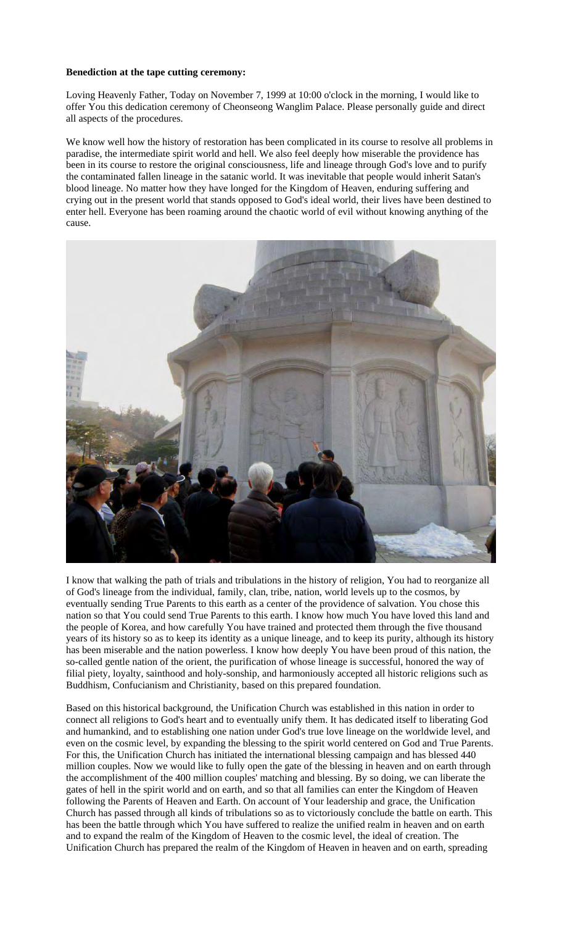### **Benediction at the tape cutting ceremony:**

Loving Heavenly Father, Today on November 7, 1999 at 10:00 o'clock in the morning, I would like to offer You this dedication ceremony of Cheonseong Wanglim Palace. Please personally guide and direct all aspects of the procedures.

We know well how the history of restoration has been complicated in its course to resolve all problems in paradise, the intermediate spirit world and hell. We also feel deeply how miserable the providence has been in its course to restore the original consciousness, life and lineage through God's love and to purify the contaminated fallen lineage in the satanic world. It was inevitable that people would inherit Satan's blood lineage. No matter how they have longed for the Kingdom of Heaven, enduring suffering and crying out in the present world that stands opposed to God's ideal world, their lives have been destined to enter hell. Everyone has been roaming around the chaotic world of evil without knowing anything of the cause.



I know that walking the path of trials and tribulations in the history of religion, You had to reorganize all of God's lineage from the individual, family, clan, tribe, nation, world levels up to the cosmos, by eventually sending True Parents to this earth as a center of the providence of salvation. You chose this nation so that You could send True Parents to this earth. I know how much You have loved this land and the people of Korea, and how carefully You have trained and protected them through the five thousand years of its history so as to keep its identity as a unique lineage, and to keep its purity, although its history has been miserable and the nation powerless. I know how deeply You have been proud of this nation, the so-called gentle nation of the orient, the purification of whose lineage is successful, honored the way of filial piety, loyalty, sainthood and holy-sonship, and harmoniously accepted all historic religions such as Buddhism, Confucianism and Christianity, based on this prepared foundation.

Based on this historical background, the Unification Church was established in this nation in order to connect all religions to God's heart and to eventually unify them. It has dedicated itself to liberating God and humankind, and to establishing one nation under God's true love lineage on the worldwide level, and even on the cosmic level, by expanding the blessing to the spirit world centered on God and True Parents. For this, the Unification Church has initiated the international blessing campaign and has blessed 440 million couples. Now we would like to fully open the gate of the blessing in heaven and on earth through the accomplishment of the 400 million couples' matching and blessing. By so doing, we can liberate the gates of hell in the spirit world and on earth, and so that all families can enter the Kingdom of Heaven following the Parents of Heaven and Earth. On account of Your leadership and grace, the Unification Church has passed through all kinds of tribulations so as to victoriously conclude the battle on earth. This has been the battle through which You have suffered to realize the unified realm in heaven and on earth and to expand the realm of the Kingdom of Heaven to the cosmic level, the ideal of creation. The Unification Church has prepared the realm of the Kingdom of Heaven in heaven and on earth, spreading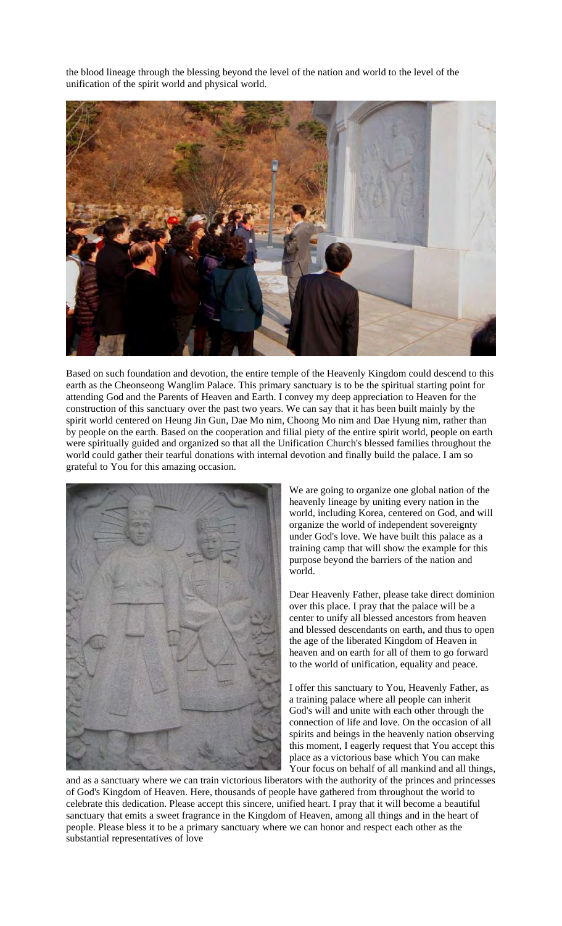the blood lineage through the blessing beyond the level of the nation and world to the level of the unification of the spirit world and physical world.



Based on such foundation and devotion, the entire temple of the Heavenly Kingdom could descend to this earth as the Cheonseong Wanglim Palace. This primary sanctuary is to be the spiritual starting point for attending God and the Parents of Heaven and Earth. I convey my deep appreciation to Heaven for the construction of this sanctuary over the past two years. We can say that it has been built mainly by the spirit world centered on Heung Jin Gun, Dae Mo nim, Choong Mo nim and Dae Hyung nim, rather than by people on the earth. Based on the cooperation and filial piety of the entire spirit world, people on earth were spiritually guided and organized so that all the Unification Church's blessed families throughout the world could gather their tearful donations with internal devotion and finally build the palace. I am so grateful to You for this amazing occasion.



We are going to organize one global nation of the heavenly lineage by uniting every nation in the world, including Korea, centered on God, and will organize the world of independent sovereignty under God's love. We have built this palace as a training camp that will show the example for this purpose beyond the barriers of the nation and world.

Dear Heavenly Father, please take direct dominion over this place. I pray that the palace will be a center to unify all blessed ancestors from heaven and blessed descendants on earth, and thus to open the age of the liberated Kingdom of Heaven in heaven and on earth for all of them to go forward to the world of unification, equality and peace.

I offer this sanctuary to You, Heavenly Father, as a training palace where all people can inherit God's will and unite with each other through the connection of life and love. On the occasion of all spirits and beings in the heavenly nation observing this moment, I eagerly request that You accept this place as a victorious base which You can make Your focus on behalf of all mankind and all things,

and as a sanctuary where we can train victorious liberators with the authority of the princes and princesses of God's Kingdom of Heaven. Here, thousands of people have gathered from throughout the world to celebrate this dedication. Please accept this sincere, unified heart. I pray that it will become a beautiful sanctuary that emits a sweet fragrance in the Kingdom of Heaven, among all things and in the heart of people. Please bless it to be a primary sanctuary where we can honor and respect each other as the substantial representatives of love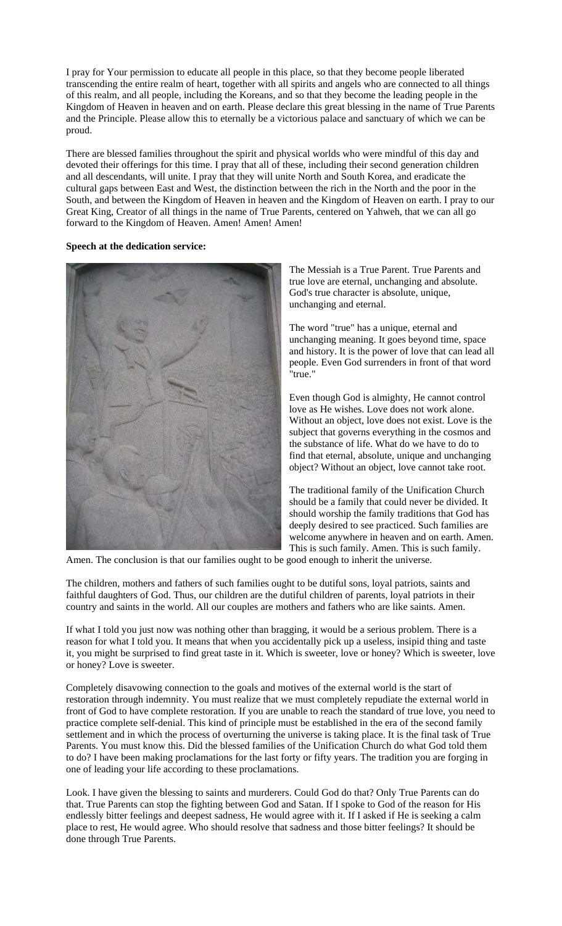I pray for Your permission to educate all people in this place, so that they become people liberated transcending the entire realm of heart, together with all spirits and angels who are connected to all things of this realm, and all people, including the Koreans, and so that they become the leading people in the Kingdom of Heaven in heaven and on earth. Please declare this great blessing in the name of True Parents and the Principle. Please allow this to eternally be a victorious palace and sanctuary of which we can be proud.

There are blessed families throughout the spirit and physical worlds who were mindful of this day and devoted their offerings for this time. I pray that all of these, including their second generation children and all descendants, will unite. I pray that they will unite North and South Korea, and eradicate the cultural gaps between East and West, the distinction between the rich in the North and the poor in the South, and between the Kingdom of Heaven in heaven and the Kingdom of Heaven on earth. I pray to our Great King, Creator of all things in the name of True Parents, centered on Yahweh, that we can all go forward to the Kingdom of Heaven. Amen! Amen! Amen!

#### **Speech at the dedication service:**



The Messiah is a True Parent. True Parents and true love are eternal, unchanging and absolute. God's true character is absolute, unique, unchanging and eternal.

The word "true" has a unique, eternal and unchanging meaning. It goes beyond time, space and history. It is the power of love that can lead all people. Even God surrenders in front of that word "true."

Even though God is almighty, He cannot control love as He wishes. Love does not work alone. Without an object, love does not exist. Love is the subject that governs everything in the cosmos and the substance of life. What do we have to do to find that eternal, absolute, unique and unchanging object? Without an object, love cannot take root.

The traditional family of the Unification Church should be a family that could never be divided. It should worship the family traditions that God has deeply desired to see practiced. Such families are welcome anywhere in heaven and on earth. Amen. This is such family. Amen. This is such family.

Amen. The conclusion is that our families ought to be good enough to inherit the universe.

The children, mothers and fathers of such families ought to be dutiful sons, loyal patriots, saints and faithful daughters of God. Thus, our children are the dutiful children of parents, loyal patriots in their country and saints in the world. All our couples are mothers and fathers who are like saints. Amen.

If what I told you just now was nothing other than bragging, it would be a serious problem. There is a reason for what I told you. It means that when you accidentally pick up a useless, insipid thing and taste it, you might be surprised to find great taste in it. Which is sweeter, love or honey? Which is sweeter, love or honey? Love is sweeter.

Completely disavowing connection to the goals and motives of the external world is the start of restoration through indemnity. You must realize that we must completely repudiate the external world in front of God to have complete restoration. If you are unable to reach the standard of true love, you need to practice complete self-denial. This kind of principle must be established in the era of the second family settlement and in which the process of overturning the universe is taking place. It is the final task of True Parents. You must know this. Did the blessed families of the Unification Church do what God told them to do? I have been making proclamations for the last forty or fifty years. The tradition you are forging in one of leading your life according to these proclamations.

Look. I have given the blessing to saints and murderers. Could God do that? Only True Parents can do that. True Parents can stop the fighting between God and Satan. If I spoke to God of the reason for His endlessly bitter feelings and deepest sadness, He would agree with it. If I asked if He is seeking a calm place to rest, He would agree. Who should resolve that sadness and those bitter feelings? It should be done through True Parents.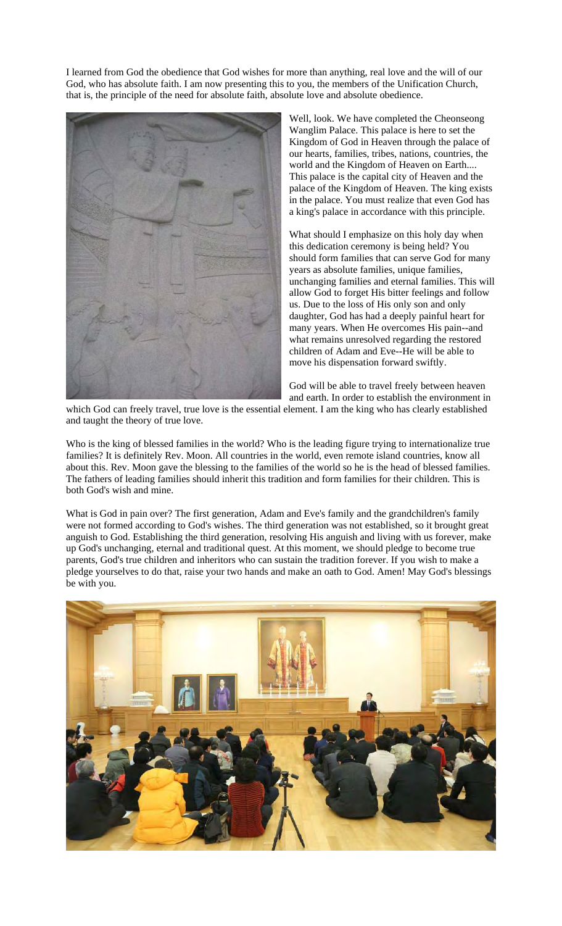I learned from God the obedience that God wishes for more than anything, real love and the will of our God, who has absolute faith. I am now presenting this to you, the members of the Unification Church, that is, the principle of the need for absolute faith, absolute love and absolute obedience.



Well, look. We have completed the Cheonseong Wanglim Palace. This palace is here to set the Kingdom of God in Heaven through the palace of our hearts, families, tribes, nations, countries, the world and the Kingdom of Heaven on Earth.... This palace is the capital city of Heaven and the palace of the Kingdom of Heaven. The king exists in the palace. You must realize that even God has a king's palace in accordance with this principle.

What should I emphasize on this holy day when this dedication ceremony is being held? You should form families that can serve God for many years as absolute families, unique families, unchanging families and eternal families. This will allow God to forget His bitter feelings and follow us. Due to the loss of His only son and only daughter, God has had a deeply painful heart for many years. When He overcomes His pain--and what remains unresolved regarding the restored children of Adam and Eve--He will be able to move his dispensation forward swiftly.

God will be able to travel freely between heaven and earth. In order to establish the environment in

which God can freely travel, true love is the essential element. I am the king who has clearly established and taught the theory of true love.

Who is the king of blessed families in the world? Who is the leading figure trying to internationalize true families? It is definitely Rev. Moon. All countries in the world, even remote island countries, know all about this. Rev. Moon gave the blessing to the families of the world so he is the head of blessed families. The fathers of leading families should inherit this tradition and form families for their children. This is both God's wish and mine.

What is God in pain over? The first generation, Adam and Eve's family and the grandchildren's family were not formed according to God's wishes. The third generation was not established, so it brought great anguish to God. Establishing the third generation, resolving His anguish and living with us forever, make up God's unchanging, eternal and traditional quest. At this moment, we should pledge to become true parents, God's true children and inheritors who can sustain the tradition forever. If you wish to make a pledge yourselves to do that, raise your two hands and make an oath to God. Amen! May God's blessings be with you.

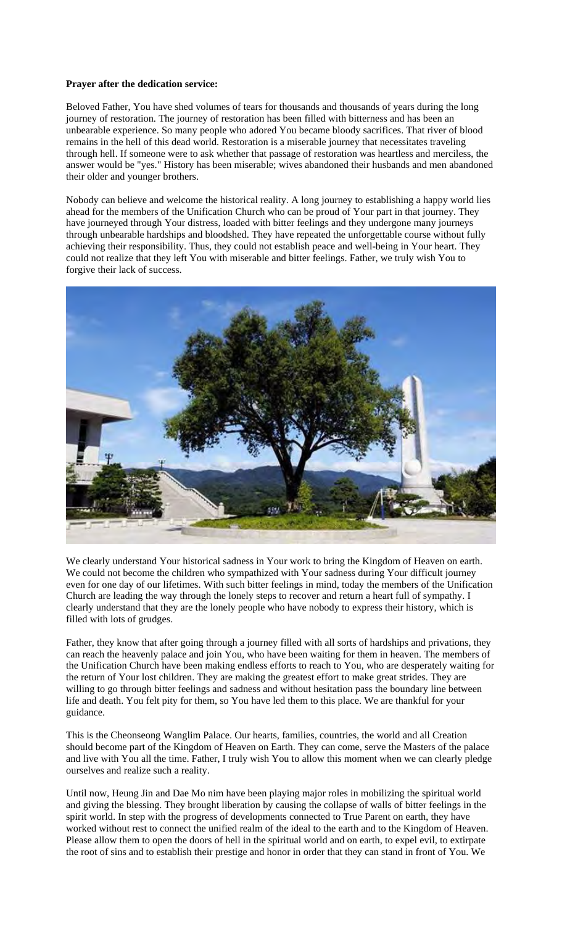### **Prayer after the dedication service:**

Beloved Father, You have shed volumes of tears for thousands and thousands of years during the long journey of restoration. The journey of restoration has been filled with bitterness and has been an unbearable experience. So many people who adored You became bloody sacrifices. That river of blood remains in the hell of this dead world. Restoration is a miserable journey that necessitates traveling through hell. If someone were to ask whether that passage of restoration was heartless and merciless, the answer would be "yes." History has been miserable; wives abandoned their husbands and men abandoned their older and younger brothers.

Nobody can believe and welcome the historical reality. A long journey to establishing a happy world lies ahead for the members of the Unification Church who can be proud of Your part in that journey. They have journeyed through Your distress, loaded with bitter feelings and they undergone many journeys through unbearable hardships and bloodshed. They have repeated the unforgettable course without fully achieving their responsibility. Thus, they could not establish peace and well-being in Your heart. They could not realize that they left You with miserable and bitter feelings. Father, we truly wish You to forgive their lack of success.



We clearly understand Your historical sadness in Your work to bring the Kingdom of Heaven on earth. We could not become the children who sympathized with Your sadness during Your difficult journey even for one day of our lifetimes. With such bitter feelings in mind, today the members of the Unification Church are leading the way through the lonely steps to recover and return a heart full of sympathy. I clearly understand that they are the lonely people who have nobody to express their history, which is filled with lots of grudges.

Father, they know that after going through a journey filled with all sorts of hardships and privations, they can reach the heavenly palace and join You, who have been waiting for them in heaven. The members of the Unification Church have been making endless efforts to reach to You, who are desperately waiting for the return of Your lost children. They are making the greatest effort to make great strides. They are willing to go through bitter feelings and sadness and without hesitation pass the boundary line between life and death. You felt pity for them, so You have led them to this place. We are thankful for your guidance.

This is the Cheonseong Wanglim Palace. Our hearts, families, countries, the world and all Creation should become part of the Kingdom of Heaven on Earth. They can come, serve the Masters of the palace and live with You all the time. Father, I truly wish You to allow this moment when we can clearly pledge ourselves and realize such a reality.

Until now, Heung Jin and Dae Mo nim have been playing major roles in mobilizing the spiritual world and giving the blessing. They brought liberation by causing the collapse of walls of bitter feelings in the spirit world. In step with the progress of developments connected to True Parent on earth, they have worked without rest to connect the unified realm of the ideal to the earth and to the Kingdom of Heaven. Please allow them to open the doors of hell in the spiritual world and on earth, to expel evil, to extirpate the root of sins and to establish their prestige and honor in order that they can stand in front of You. We